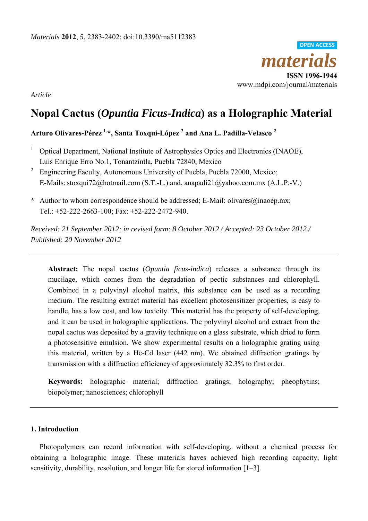*materials* **ISSN 1996-1944**  www.mdpi.com/journal/materials **OPEN ACCESS**

*Article* 

# **Nopal Cactus (***Opuntia Ficus-Indica***) as a Holographic Material**

# **Arturo Olivares-Pérez 1,\*, Santa Toxqui-López 2 and Ana L. Padilla-Velasco <sup>2</sup>**

- <sup>1</sup> Optical Department, National Institute of Astrophysics Optics and Electronics (INAOE), Luis Enrique Erro No.1, Tonantzintla, Puebla 72840, Mexico
- <sup>2</sup> Engineering Faculty, Autonomous University of Puebla, Puebla 72000, Mexico; E-Mails: stoxqui72@hotmail.com (S.T.-L.) and, anapadi21@yahoo.com.mx (A.L.P.-V.)
- **\*** Author to whom correspondence should be addressed; E-Mail: olivares@inaoep.mx; Tel.: +52-222-2663-100; Fax: +52-222-2472-940.

*Received: 21 September 2012; in revised form: 8 October 2012 / Accepted: 23 October 2012 / Published: 20 November 2012* 

**Abstract:** The nopal cactus (*Opuntia ficus-indica*) releases a substance through its mucilage, which comes from the degradation of pectic substances and chlorophyll. Combined in a polyvinyl alcohol matrix, this substance can be used as a recording medium. The resulting extract material has excellent photosensitizer properties, is easy to handle, has a low cost, and low toxicity. This material has the property of self-developing, and it can be used in holographic applications. The polyvinyl alcohol and extract from the nopal cactus was deposited by a gravity technique on a glass substrate, which dried to form a photosensitive emulsion. We show experimental results on a holographic grating using this material, written by a He-Cd laser (442 nm). We obtained diffraction gratings by transmission with a diffraction efficiency of approximately 32.3% to first order.

**Keywords:** holographic material; diffraction gratings; holography; pheophytins; biopolymer; nanosciences; chlorophyll

# **1. Introduction**

Photopolymers can record information with self-developing, without a chemical process for obtaining a holographic image. These materials haves achieved high recording capacity, light sensitivity, durability, resolution, and longer life for stored information [1–3].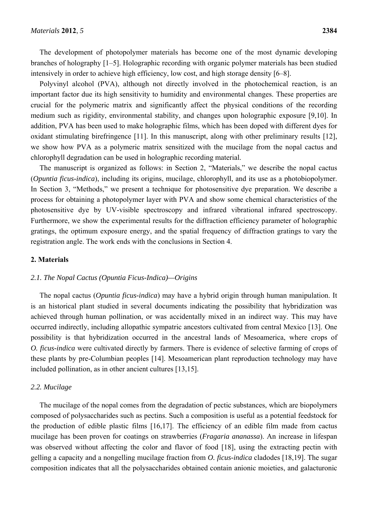The development of photopolymer materials has become one of the most dynamic developing branches of holography [1–5]. Holographic recording with organic polymer materials has been studied intensively in order to achieve high efficiency, low cost, and high storage density [6–8].

Polyvinyl alcohol (PVA), although not directly involved in the photochemical reaction, is an important factor due its high sensitivity to humidity and environmental changes. These properties are crucial for the polymeric matrix and significantly affect the physical conditions of the recording medium such as rigidity, environmental stability, and changes upon holographic exposure [9,10]. In addition, PVA has been used to make holographic films, which has been doped with different dyes for oxidant stimulating birefringence [11]. In this manuscript, along with other preliminary results [12], we show how PVA as a polymeric matrix sensitized with the mucilage from the nopal cactus and chlorophyll degradation can be used in holographic recording material.

The manuscript is organized as follows: in Section 2, "Materials," we describe the nopal cactus (*Opuntia ficus-indica*), including its origins, mucilage, chlorophyll, and its use as a photobiopolymer. In Section 3, "Methods," we present a technique for photosensitive dye preparation. We describe a process for obtaining a photopolymer layer with PVA and show some chemical characteristics of the photosensitive dye by UV-visible spectroscopy and infrared vibrational infrared spectroscopy. Furthermore, we show the experimental results for the diffraction efficiency parameter of holographic gratings, the optimum exposure energy, and the spatial frequency of diffraction gratings to vary the registration angle. The work ends with the conclusions in Section 4.

#### **2. Materials**

#### *2.1. The Nopal Cactus (Opuntia Ficus-Indica)—Origins*

The nopal cactus (*Opuntia ficus-indica*) may have a hybrid origin through human manipulation. It is an historical plant studied in several documents indicating the possibility that hybridization was achieved through human pollination, or was accidentally mixed in an indirect way. This may have occurred indirectly, including allopathic sympatric ancestors cultivated from central Mexico [13]. One possibility is that hybridization occurred in the ancestral lands of Mesoamerica, where crops of *O. ficus-indica* were cultivated directly by farmers. There is evidence of selective farming of crops of these plants by pre-Columbian peoples [14]. Mesoamerican plant reproduction technology may have included pollination, as in other ancient cultures [13,15].

#### *2.2. Mucilage*

The mucilage of the nopal comes from the degradation of pectic substances, which are biopolymers composed of polysaccharides such as pectins. Such a composition is useful as a potential feedstock for the production of edible plastic films [16,17]. The efficiency of an edible film made from cactus mucilage has been proven for coatings on strawberries (*Fragaria ananassa*). An increase in lifespan was observed without affecting the color and flavor of food [18], using the extracting pectin with gelling a capacity and a nongelling mucilage fraction from *O. ficus-indica* cladodes [18,19]. The sugar composition indicates that all the polysaccharides obtained contain anionic moieties, and galacturonic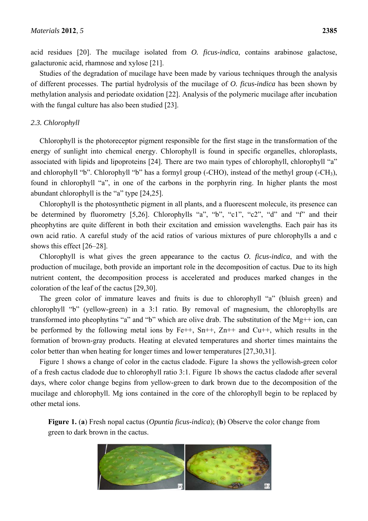acid residues [20]. The mucilage isolated from *O. ficus-indica*, contains arabinose galactose, galacturonic acid, rhamnose and xylose [21].

Studies of the degradation of mucilage have been made by various techniques through the analysis of different processes. The partial hydrolysis of the mucilage of *O. ficus-indica* has been shown by methylation analysis and periodate oxidation [22]. Analysis of the polymeric mucilage after incubation with the fungal culture has also been studied [23].

### *2.3. Chlorophyll*

Chlorophyll is the photoreceptor pigment responsible for the first stage in the transformation of the energy of sunlight into chemical energy. Chlorophyll is found in specific organelles, chloroplasts, associated with lipids and lipoproteins [24]. There are two main types of chlorophyll, chlorophyll "a" and chlorophyll "b". Chlorophyll "b" has a formyl group (-CHO), instead of the methyl group (-CH3), found in chlorophyll "a", in one of the carbons in the porphyrin ring. In higher plants the most abundant chlorophyll is the "a" type [24,25].

Chlorophyll is the photosynthetic pigment in all plants, and a fluorescent molecule, its presence can be determined by fluorometry [5,26]. Chlorophylls "a", "b", "c1", "c2", "d" and "f" and their pheophytins are quite different in both their excitation and emission wavelengths. Each pair has its own acid ratio. A careful study of the acid ratios of various mixtures of pure chlorophylls a and c shows this effect [26–28].

Chlorophyll is what gives the green appearance to the cactus *O. ficus-indica*, and with the production of mucilage, both provide an important role in the decomposition of cactus. Due to its high nutrient content, the decomposition process is accelerated and produces marked changes in the coloration of the leaf of the cactus [29,30].

The green color of immature leaves and fruits is due to chlorophyll "a" (bluish green) and chlorophyll "b" (yellow-green) in a 3:1 ratio. By removal of magnesium, the chlorophylls are transformed into pheophytins "a" and "b" which are olive drab. The substitution of the Mg++ ion, can be performed by the following metal ions by  $Fe++$ ,  $Sn++, Zn++$  and  $Cu++$ , which results in the formation of brown-gray products. Heating at elevated temperatures and shorter times maintains the color better than when heating for longer times and lower temperatures [27,30,31].

Figure 1 shows a change of color in the cactus cladode. Figure 1a shows the yellowish-green color of a fresh cactus cladode due to chlorophyll ratio 3:1. Figure 1b shows the cactus cladode after several days, where color change begins from yellow-green to dark brown due to the decomposition of the mucilage and chlorophyll. Mg ions contained in the core of the chlorophyll begin to be replaced by other metal ions.

**Figure 1.** (**a**) Fresh nopal cactus (*Opuntia ficus-indica*); (**b**) Observe the color change from green to dark brown in the cactus.

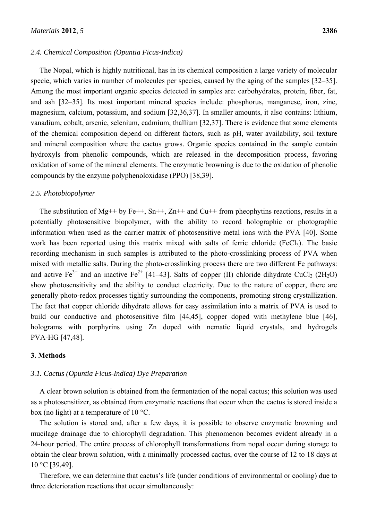#### *2.4. Chemical Composition (Opuntia Ficus-Indica)*

The Nopal, which is highly nutritional, has in its chemical composition a large variety of molecular specie, which varies in number of molecules per species, caused by the aging of the samples [32–35]. Among the most important organic species detected in samples are: carbohydrates, protein, fiber, fat, and ash [32–35]. Its most important mineral species include: phosphorus, manganese, iron, zinc, magnesium, calcium, potassium, and sodium [32,36,37]. In smaller amounts, it also contains: lithium, vanadium, cobalt, arsenic, selenium, cadmium, thallium [32,37]. There is evidence that some elements of the chemical composition depend on different factors, such as pH, water availability, soil texture and mineral composition where the cactus grows. Organic species contained in the sample contain hydroxyls from phenolic compounds, which are released in the decomposition process, favoring oxidation of some of the mineral elements. The enzymatic browning is due to the oxidation of phenolic compounds by the enzyme polyphenoloxidase (PPO) [38,39].

#### *2.5. Photobiopolymer*

The substitution of Mg++ by Fe++, Sn++, Zn++ and Cu++ from pheophytins reactions, results in a potentially photosensitive biopolymer, with the ability to record holographic or photographic information when used as the carrier matrix of photosensitive metal ions with the PVA [40]. Some work has been reported using this matrix mixed with salts of ferric chloride (FeCl<sub>3</sub>). The basic recording mechanism in such samples is attributed to the photo-crosslinking process of PVA when mixed with metallic salts. During the photo-crosslinking process there are two different Fe pathways: and active  $Fe^{3+}$  and an inactive  $Fe^{2+}$  [41–43]. Salts of copper (II) chloride dihydrate CuCl<sub>2</sub> (2H<sub>2</sub>O) show photosensitivity and the ability to conduct electricity. Due to the nature of copper, there are generally photo-redox processes tightly surrounding the components, promoting strong crystallization. The fact that copper chloride dihydrate allows for easy assimilation into a matrix of PVA is used to build our conductive and photosensitive film [44,45], copper doped with methylene blue [46], holograms with porphyrins using Zn doped with nematic liquid crystals, and hydrogels PVA-HG [47,48].

#### **3. Methods**

#### *3.1. Cactus (Opuntia Ficus-Indica) Dye Preparation*

A clear brown solution is obtained from the fermentation of the nopal cactus; this solution was used as a photosensitizer, as obtained from enzymatic reactions that occur when the cactus is stored inside a box (no light) at a temperature of 10 °C.

The solution is stored and, after a few days, it is possible to observe enzymatic browning and mucilage drainage due to chlorophyll degradation. This phenomenon becomes evident already in a 24-hour period. The entire process of chlorophyll transformations from nopal occur during storage to obtain the clear brown solution, with a minimally processed cactus, over the course of 12 to 18 days at 10 °C [39,49].

Therefore, we can determine that cactus's life (under conditions of environmental or cooling) due to three deterioration reactions that occur simultaneously: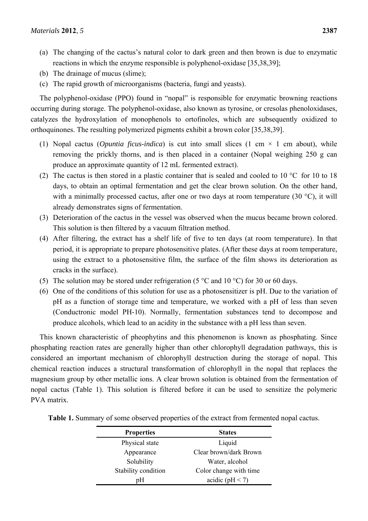- (a) The changing of the cactus's natural color to dark green and then brown is due to enzymatic reactions in which the enzyme responsible is polyphenol-oxidase [35,38,39];
- (b) The drainage of mucus (slime);
- (c) The rapid growth of microorganisms (bacteria, fungi and yeasts).

The polyphenol-oxidase (PPO) found in "nopal" is responsible for enzymatic browning reactions occurring during storage. The polyphenol-oxidase, also known as tyrosine, or cresolas phenoloxidases, catalyzes the hydroxylation of monophenols to ortofinoles, which are subsequently oxidized to orthoquinones. The resulting polymerized pigments exhibit a brown color [35,38,39].

- (1) Nopal cactus (*Opuntia ficus-indica*) is cut into small slices (1 cm  $\times$  1 cm about), while removing the prickly thorns, and is then placed in a container (Nopal weighing 250 g can produce an approximate quantity of 12 mL fermented extract).
- (2) The cactus is then stored in a plastic container that is sealed and cooled to 10 °C for 10 to 18 days, to obtain an optimal fermentation and get the clear brown solution. On the other hand, with a minimally processed cactus, after one or two days at room temperature (30  $^{\circ}$ C), it will already demonstrates signs of fermentation.
- (3) Deterioration of the cactus in the vessel was observed when the mucus became brown colored. This solution is then filtered by a vacuum filtration method.
- (4) After filtering, the extract has a shelf life of five to ten days (at room temperature). In that period, it is appropriate to prepare photosensitive plates. (After these days at room temperature, using the extract to a photosensitive film, the surface of the film shows its deterioration as cracks in the surface).
- (5) The solution may be stored under refrigeration (5  $\degree$ C and 10  $\degree$ C) for 30 or 60 days.
- (6) One of the conditions of this solution for use as a photosensitizer is pH. Due to the variation of pH as a function of storage time and temperature, we worked with a pH of less than seven (Conductronic model PH-10). Normally, fermentation substances tend to decompose and produce alcohols, which lead to an acidity in the substance with a pH less than seven.

This known characteristic of pheophytins and this phenomenon is known as phosphating. Since phosphating reaction rates are generally higher than other chlorophyll degradation pathways, this is considered an important mechanism of chlorophyll destruction during the storage of nopal. This chemical reaction induces a structural transformation of chlorophyll in the nopal that replaces the magnesium group by other metallic ions. A clear brown solution is obtained from the fermentation of nopal cactus (Table 1). This solution is filtered before it can be used to sensitize the polymeric PVA matrix.

| <b>Properties</b>   | <b>States</b>          |  |
|---------------------|------------------------|--|
| Physical state      | Liquid                 |  |
| Appearance          | Clear brown/dark Brown |  |
| Solubility          | Water, alcohol         |  |
| Stability condition | Color change with time |  |
| pН                  | acidic ( $pH < 7$ )    |  |

**Table 1.** Summary of some observed properties of the extract from fermented nopal cactus.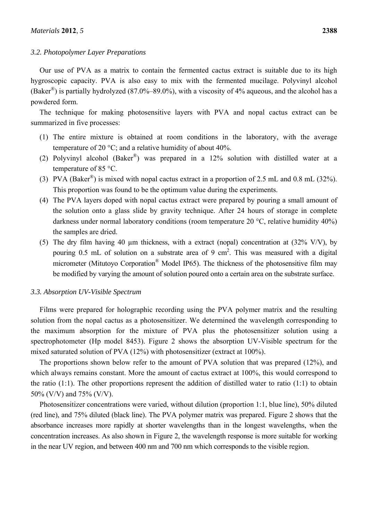#### *3.2. Photopolymer Layer Preparations*

Our use of PVA as a matrix to contain the fermented cactus extract is suitable due to its high hygroscopic capacity. PVA is also easy to mix with the fermented mucilage. Polyvinyl alcohol (Baker<sup>®</sup>) is partially hydrolyzed (87.0%–89.0%), with a viscosity of 4% aqueous, and the alcohol has a powdered form.

The technique for making photosensitive layers with PVA and nopal cactus extract can be summarized in five processes:

- (1) The entire mixture is obtained at room conditions in the laboratory, with the average temperature of 20 °C; and a relative humidity of about 40%.
- (2) Polyvinyl alcohol (Baker®) was prepared in a 12% solution with distilled water at a temperature of 85 °C.
- (3) PVA (Baker<sup>®</sup>) is mixed with nopal cactus extract in a proportion of 2.5 mL and 0.8 mL (32%). This proportion was found to be the optimum value during the experiments.
- (4) The PVA layers doped with nopal cactus extract were prepared by pouring a small amount of the solution onto a glass slide by gravity technique. After 24 hours of storage in complete darkness under normal laboratory conditions (room temperature 20 °C, relative humidity 40%) the samples are dried.
- (5) The dry film having 40  $\mu$ m thickness, with a extract (nopal) concentration at (32% V/V), by pouring 0.5 mL of solution on a substrate area of 9 cm<sup>2</sup>. This was measured with a digital micrometer (Mitutoyo Corporation® Model IP65). The thickness of the photosensitive film may be modified by varying the amount of solution poured onto a certain area on the substrate surface.

#### *3.3. Absorption UV-Visible Spectrum*

Films were prepared for holographic recording using the PVA polymer matrix and the resulting solution from the nopal cactus as a photosensitizer. We determined the wavelength corresponding to the maximum absorption for the mixture of PVA plus the photosensitizer solution using a spectrophotometer (Hp model 8453). Figure 2 shows the absorption UV-Visible spectrum for the mixed saturated solution of PVA (12%) with photosensitizer (extract at 100%).

The proportions shown below refer to the amount of PVA solution that was prepared (12%), and which always remains constant. More the amount of cactus extract at 100%, this would correspond to the ratio (1:1). The other proportions represent the addition of distilled water to ratio (1:1) to obtain 50% (V/V) and 75% (V/V).

Photosensitizer concentrations were varied, without dilution (proportion 1:1, blue line), 50% diluted (red line), and 75% diluted (black line). The PVA polymer matrix was prepared. Figure 2 shows that the absorbance increases more rapidly at shorter wavelengths than in the longest wavelengths, when the concentration increases. As also shown in Figure 2, the wavelength response is more suitable for working in the near UV region, and between 400 nm and 700 nm which corresponds to the visible region.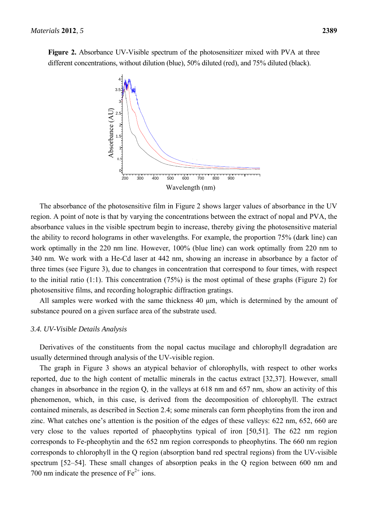**Figure 2.** Absorbance UV-Visible spectrum of the photosensitizer mixed with PVA at three different concentrations, without dilution (blue), 50% diluted (red), and 75% diluted (black).



The absorbance of the photosensitive film in Figure 2 shows larger values of absorbance in the UV region. A point of note is that by varying the concentrations between the extract of nopal and PVA, the absorbance values in the visible spectrum begin to increase, thereby giving the photosensitive material the ability to record holograms in other wavelengths. For example, the proportion 75% (dark line) can work optimally in the 220 nm line. However, 100% (blue line) can work optimally from 220 nm to 340 nm. We work with a He-Cd laser at 442 nm, showing an increase in absorbance by a factor of three times (see Figure 3), due to changes in concentration that correspond to four times, with respect to the initial ratio (1:1). This concentration (75%) is the most optimal of these graphs (Figure 2) for photosensitive films, and recording holographic diffraction gratings.

All samples were worked with the same thickness 40 μm, which is determined by the amount of substance poured on a given surface area of the substrate used.

# *3.4. UV-Visible Details Analysis*

Derivatives of the constituents from the nopal cactus mucilage and chlorophyll degradation are usually determined through analysis of the UV-visible region.

The graph in Figure 3 shows an atypical behavior of chlorophylls, with respect to other works reported, due to the high content of metallic minerals in the cactus extract [32,37]. However, small changes in absorbance in the region Q, in the valleys at 618 nm and 657 nm, show an activity of this phenomenon, which, in this case, is derived from the decomposition of chlorophyll. The extract contained minerals, as described in Section 2.4; some minerals can form pheophytins from the iron and zinc. What catches one's attention is the position of the edges of these valleys: 622 nm, 652, 660 are very close to the values reported of phaeophytins typical of iron [50,51]. The 622 nm region corresponds to Fe-pheophytin and the 652 nm region corresponds to pheophytins. The 660 nm region corresponds to chlorophyll in the Q region (absorption band red spectral regions) from the UV-visible spectrum [52–54]. These small changes of absorption peaks in the Q region between 600 nm and 700 nm indicate the presence of  $Fe^{2+}$  ions.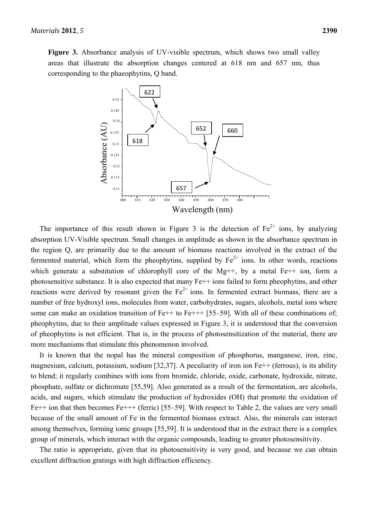

The importance of this result shown in Figure 3 is the detection of  $Fe^{2+}$  ions, by analyzing absorption UV-Visible spectrum. Small changes in amplitude as shown in the absorbance spectrum in the region Q, are primarily due to the amount of biomass reactions involved in the extract of the fermented material, which form the pheophytins, supplied by  $Fe^{2+}$  ions. In other words, reactions which generate a substitution of chlorophyll core of the Mg++, by a metal Fe++ ion, form a photosensitive substance. It is also expected that many Fe++ ions failed to form pheophytins, and other reactions were derived by resonant given the  $Fe^{2+}$  ions. In fermented extract biomass, there are a number of free hydroxyl ions, molecules from water, carbohydrates, sugars, alcohols, metal ions where some can make an oxidation transition of  $Fe++$  to  $Fe++$  [55–59]. With all of these combinations of; pheophytins, due to their amplitude values expressed in Figure 3, it is understood that the conversion of pheophytins is not efficient. That is, in the process of photosensitization of the material, there are more mechanisms that stimulate this phenomenon involved.

It is known that the nopal has the mineral composition of phosphorus, manganese, iron, zinc, magnesium, calcium, potassium, sodium [32,37]. A peculiarity of iron ion Fe++ (ferrous), is its ability to blend; it regularly combines with ions from bromide, chloride, oxide, carbonate, hydroxide, nitrate, phosphate, sulfate or dichromate [55,59]. Also generated as a result of the fermentation, are alcohols, acids, and sugars, which stimulate the production of hydroxides (OH) that promote the oxidation of Fe++ ion that then becomes Fe+++ (ferric) [55–59]. With respect to Table 2, the values are very small because of the small amount of Fe in the fermented biomass extract. Also, the minerals can interact among themselves, forming ionic groups [55,59]. It is understood that in the extract there is a complex group of minerals, which interact with the organic compounds, leading to greater photosensitivity.

The ratio is appropriate, given that its photosensitivity is very good, and because we can obtain excellent diffraction gratings with high diffraction efficiency.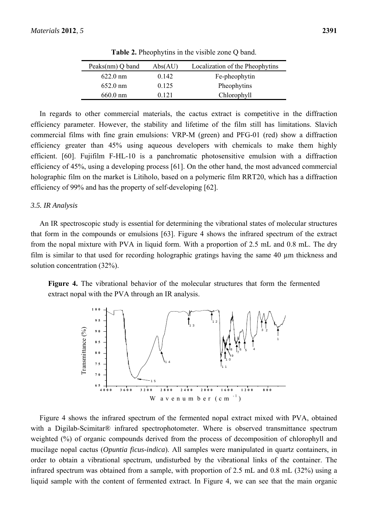| Peaks $(nm)$ Q band | Abs(AU) | Localization of the Pheophytins |
|---------------------|---------|---------------------------------|
| $622.0 \text{ nm}$  | 0.142   | Fe-pheophytin                   |
| $652.0 \text{ nm}$  | 0.125   | Pheophytins                     |
| $660.0 \text{ nm}$  | 0.121   | Chlorophyll                     |

**Table 2.** Pheophytins in the visible zone Q band.

In regards to other commercial materials, the cactus extract is competitive in the diffraction efficiency parameter. However, the stability and lifetime of the film still has limitations. Slavich commercial films with fine grain emulsions: VRP-M (green) and PFG-01 (red) show a diffraction efficiency greater than 45% using aqueous developers with chemicals to make them highly efficient. [60]. Fujifilm F-HL-10 is a panchromatic photosensitive emulsion with a diffraction efficiency of 45%, using a developing process [61]. On the other hand, the most advanced commercial holographic film on the market is Litiholo, based on a polymeric film RRT20, which has a diffraction efficiency of 99% and has the property of self-developing [62].

#### *3.5. IR Analysis*

An IR spectroscopic study is essential for determining the vibrational states of molecular structures that form in the compounds or emulsions [63]. Figure 4 shows the infrared spectrum of the extract from the nopal mixture with PVA in liquid form. With a proportion of 2.5 mL and 0.8 mL. The dry film is similar to that used for recording holographic gratings having the same 40 µm thickness and solution concentration (32%).

**Figure 4.** The vibrational behavior of the molecular structures that form the fermented extract nopal with the PVA through an IR analysis.



Figure 4 shows the infrared spectrum of the fermented nopal extract mixed with PVA, obtained with a Digilab-Scimitar<sup>®</sup> infrared spectrophotometer. Where is observed transmittance spectrum weighted (%) of organic compounds derived from the process of decomposition of chlorophyll and mucilage nopal cactus (*Opuntia ficus-indica*). All samples were manipulated in quartz containers, in order to obtain a vibrational spectrum, undisturbed by the vibrational links of the container. The infrared spectrum was obtained from a sample, with proportion of 2.5 mL and 0.8 mL (32%) using a liquid sample with the content of fermented extract. In Figure 4, we can see that the main organic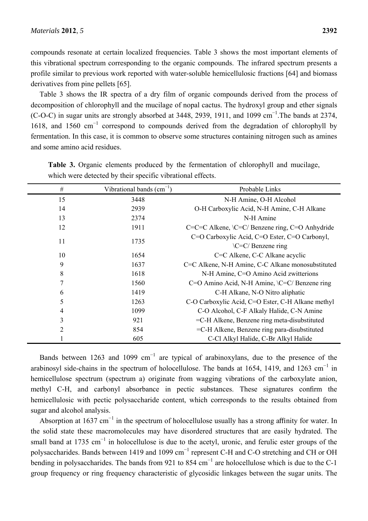compounds resonate at certain localized frequencies. Table 3 shows the most important elements of this vibrational spectrum corresponding to the organic compounds. The infrared spectrum presents a profile similar to previous work reported with water-soluble hemicellulosic fractions [64] and biomass derivatives from pine pellets [65].

Table 3 shows the IR spectra of a dry film of organic compounds derived from the process of decomposition of chlorophyll and the mucilage of nopal cactus. The hydroxyl group and ether signals (C-O-C) in sugar units are strongly absorbed at 3448, 2939, 1911, and 1099  $\text{cm}^{-1}$ . The bands at 2374, 1618, and 1560 cm<sup>−</sup><sup>1</sup> correspond to compounds derived from the degradation of chlorophyll by fermentation. In this case, it is common to observe some structures containing nitrogen such as amines and some amino acid residues.

| #              | Vibrational bands $(cm^{-1})$ | Probable Links                                     |  |
|----------------|-------------------------------|----------------------------------------------------|--|
| 15             | 3448                          | N-H Amine, O-H Alcohol                             |  |
| 14             | 2939                          | O-H Carboxylic Acid, N-H Amine, C-H Alkane         |  |
| 13             | 2374                          | N-H Amine                                          |  |
| 12             | 1911                          | C=C=C Alkene, \C=C/ Benzene ring, C=O Anhydride    |  |
| 11             | 1735                          | C=O Carboxylic Acid, C=O Ester, C=O Carbonyl,      |  |
|                |                               | $\C = C /$ Benzene ring                            |  |
| 10             | 1654                          | C=C Alkene, C-C Alkane acyclic                     |  |
| 9              | 1637                          | C=C Alkene, N-H Amine, C-C Alkane monosubstituted  |  |
| 8              | 1618                          | N-H Amine, C=O Amino Acid zwitterions              |  |
| $\overline{7}$ | 1560                          | C=O Amino Acid, N-H Amine, $\C = C /$ Benzene ring |  |
| 6              | 1419                          | C-H Alkane, N-O Nitro aliphatic                    |  |
| 5              | 1263                          | C-O Carboxylic Acid, C=O Ester, C-H Alkane methyl  |  |
| 4              | 1099                          | C-O Alcohol, C-F Alkaly Halide, C-N Amine          |  |
| 3              | 921                           | =C-H Alkene, Benzene ring meta-disubstituted       |  |
| $\overline{2}$ | 854                           | =C-H Alkene, Benzene ring para-disubstituted       |  |
|                | 605                           | C-Cl Alkyl Halide, C-Br Alkyl Halide               |  |

**Table 3.** Organic elements produced by the fermentation of chlorophyll and mucilage, which were detected by their specific vibrational effects.

Bands between 1263 and 1099  $cm^{-1}$  are typical of arabinoxylans, due to the presence of the arabinosyl side-chains in the spectrum of holocellulose. The bands at 1654, 1419, and 1263 cm<sup>-1</sup> in hemicellulose spectrum (spectrum a) originate from wagging vibrations of the carboxylate anion, methyl C-H, and carbonyl absorbance in pectic substances. These signatures confirm the hemicellulosic with pectic polysaccharide content, which corresponds to the results obtained from sugar and alcohol analysis.

Absorption at 1637 cm<sup>-1</sup> in the spectrum of holocellulose usually has a strong affinity for water. In the solid state these macromolecules may have disordered structures that are easily hydrated. The small band at 1735 cm<sup>-1</sup> in holocellulose is due to the acetyl, uronic, and ferulic ester groups of the polysaccharides. Bands between 1419 and 1099 cm<sup>-1</sup> represent C-H and C-O stretching and CH or OH bending in polysaccharides. The bands from 921 to 854  $cm^{-1}$  are holocellulose which is due to the C-1 group frequency or ring frequency characteristic of glycosidic linkages between the sugar units. The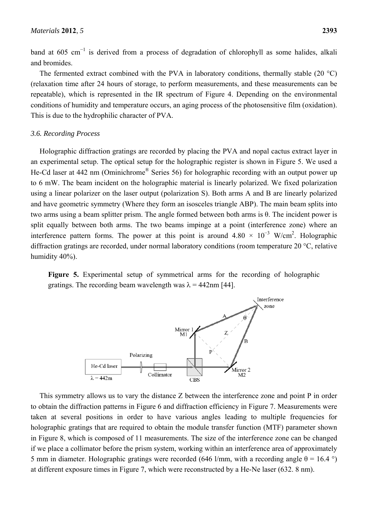band at 605 cm<sup>-1</sup> is derived from a process of degradation of chlorophyll as some halides, alkali and bromides.

The fermented extract combined with the PVA in laboratory conditions, thermally stable (20 °C) (relaxation time after 24 hours of storage, to perform measurements, and these measurements can be repeatable), which is represented in the IR spectrum of Figure 4. Depending on the environmental conditions of humidity and temperature occurs, an aging process of the photosensitive film (oxidation). This is due to the hydrophilic character of PVA.

#### *3.6. Recording Process*

Holographic diffraction gratings are recorded by placing the PVA and nopal cactus extract layer in an experimental setup. The optical setup for the holographic register is shown in Figure 5. We used a He-Cd laser at 442 nm (Ominichrome® Series 56) for holographic recording with an output power up to 6 mW. The beam incident on the holographic material is linearly polarized. We fixed polarization using a linear polarizer on the laser output (polarization S). Both arms A and B are linearly polarized and have geometric symmetry (Where they form an isosceles triangle ABP). The main beam splits into two arms using a beam splitter prism. The angle formed between both arms is θ. The incident power is split equally between both arms. The two beams impinge at a point (interference zone) where an interference pattern forms. The power at this point is around  $4.80 \times 10^{-3}$  W/cm<sup>2</sup>. Holographic diffraction gratings are recorded, under normal laboratory conditions (room temperature 20 °C, relative humidity 40%).

**Figure 5.** Experimental setup of symmetrical arms for the recording of holographic gratings. The recording beam wavelength was  $\lambda = 442$ nm [44].



This symmetry allows us to vary the distance Z between the interference zone and point P in order to obtain the diffraction patterns in Figure 6 and diffraction efficiency in Figure 7. Measurements were taken at several positions in order to have various angles leading to multiple frequencies for holographic gratings that are required to obtain the module transfer function (MTF) parameter shown in Figure 8, which is composed of 11 measurements. The size of the interference zone can be changed if we place a collimator before the prism system, working within an interference area of approximately 5 mm in diameter. Holographic gratings were recorded (646 l/mm, with a recording angle θ = 16.4 °) at different exposure times in Figure 7, which were reconstructed by a He-Ne laser (632. 8 nm).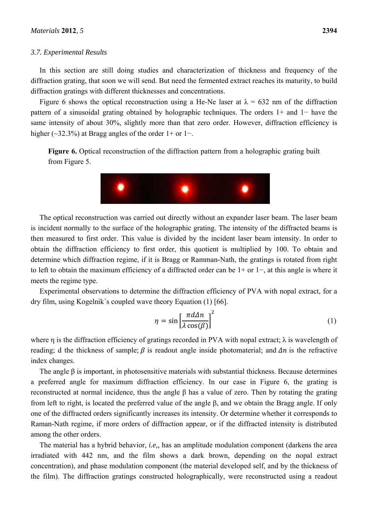#### *3.7. Experimental Results*

In this section are still doing studies and characterization of thickness and frequency of the diffraction grating, that soon we will send. But need the fermented extract reaches its maturity, to build diffraction gratings with different thicknesses and concentrations.

Figure 6 shows the optical reconstruction using a He-Ne laser at  $\lambda = 632$  nm of the diffraction pattern of a sinusoidal grating obtained by holographic techniques. The orders 1+ and 1− have the same intensity of about 30%, slightly more than that zero order. However, diffraction efficiency is higher ( $\sim$ 32.3%) at Bragg angles of the order 1+ or 1−.

**Figure 6.** Optical reconstruction of the diffraction pattern from a holographic grating built from Figure 5.



The optical reconstruction was carried out directly without an expander laser beam. The laser beam is incident normally to the surface of the holographic grating. The intensity of the diffracted beams is then measured to first order. This value is divided by the incident laser beam intensity. In order to obtain the diffraction efficiency to first order, this quotient is multiplied by 100. To obtain and determine which diffraction regime, if it is Bragg or Ramman-Nath, the gratings is rotated from right to left to obtain the maximum efficiency of a diffracted order can be 1+ or 1−, at this angle is where it meets the regime type.

Experimental observations to determine the diffraction efficiency of PVA with nopal extract, for a dry film, using Kogelnik´s coupled wave theory Equation (1) [66].

$$
\eta = \sin\left[\frac{\pi d \Delta n}{\lambda \cos(\beta)}\right]^2 \tag{1}
$$

where  $\eta$  is the diffraction efficiency of gratings recorded in PVA with nopal extract;  $\lambda$  is wavelength of reading; d the thickness of sample;  $\beta$  is readout angle inside photomaterial; and  $\Delta n$  is the refractive index changes.

The angle  $\beta$  is important, in photosensitive materials with substantial thickness. Because determines a preferred angle for maximum diffraction efficiency. In our case in Figure 6, the grating is reconstructed at normal incidence, thus the angle β has a value of zero. Then by rotating the grating from left to right, is located the preferred value of the angle β, and we obtain the Bragg angle. If only one of the diffracted orders significantly increases its intensity. Or determine whether it corresponds to Raman-Nath regime, if more orders of diffraction appear, or if the diffracted intensity is distributed among the other orders.

The material has a hybrid behavior, *i.e,*, has an amplitude modulation component (darkens the area irradiated with 442 nm, and the film shows a dark brown, depending on the nopal extract concentration), and phase modulation component (the material developed self, and by the thickness of the film). The diffraction gratings constructed holographically, were reconstructed using a readout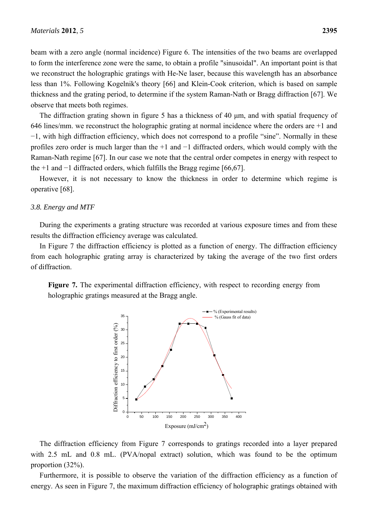beam with a zero angle (normal incidence) Figure 6. The intensities of the two beams are overlapped to form the interference zone were the same, to obtain a profile "sinusoidal". An important point is that we reconstruct the holographic gratings with He-Ne laser, because this wavelength has an absorbance less than 1%. Following Kogelnik's theory [66] and Klein-Cook criterion, which is based on sample thickness and the grating period, to determine if the system Raman-Nath or Bragg diffraction [67]. We observe that meets both regimes.

The diffraction grating shown in figure 5 has a thickness of 40 μm, and with spatial frequency of 646 lines/mm. we reconstruct the holographic grating at normal incidence where the orders are +1 and −1, with high diffraction efficiency, which does not correspond to a profile "sine". Normally in these profiles zero order is much larger than the +1 and −1 diffracted orders, which would comply with the Raman-Nath regime [67]. In our case we note that the central order competes in energy with respect to the +1 and −1 diffracted orders, which fulfills the Bragg regime [66,67].

However, it is not necessary to know the thickness in order to determine which regime is operative [68].

# *3.8. Energy and MTF*

During the experiments a grating structure was recorded at various exposure times and from these results the diffraction efficiency average was calculated.

In Figure 7 the diffraction efficiency is plotted as a function of energy. The diffraction efficiency from each holographic grating array is characterized by taking the average of the two first orders of diffraction.

Figure 7. The experimental diffraction efficiency, with respect to recording energy from holographic gratings measured at the Bragg angle.



The diffraction efficiency from Figure 7 corresponds to gratings recorded into a layer prepared with 2.5 mL and 0.8 mL. (PVA/nopal extract) solution, which was found to be the optimum proportion (32%).

Furthermore, it is possible to observe the variation of the diffraction efficiency as a function of energy. As seen in Figure 7, the maximum diffraction efficiency of holographic gratings obtained with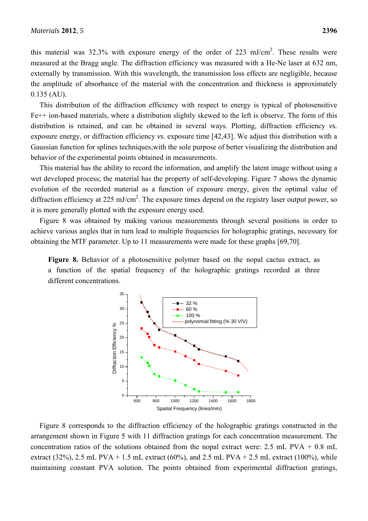this material was 32.3% with exposure energy of the order of 223 mJ/cm<sup>2</sup>. These results were measured at the Bragg angle. The diffraction efficiency was measured with a He-Ne laser at 632 nm, externally by transmission. With this wavelength, the transmission loss effects are negligible, because the amplitude of absorbance of the material with the concentration and thickness is approximately 0.135 (AU).

This distribution of the diffraction efficiency with respect to energy is typical of photosensitive Fe++ ion-based materials, where a distribution slightly skewed to the left is observe. The form of this distribution is retained, and can be obtained in several ways. Plotting, diffraction efficiency *vs.* exposure energy, or diffraction efficiency *vs.* exposure time [42,43]. We adjust this distribution with a Gaussian function for splines techniques,with the sole purpose of better visualizing the distribution and behavior of the experimental points obtained in measurements.

This material has the ability to record the information, and amplify the latent image without using a wet developed process; the material has the property of self-developing. Figure 7 shows the dynamic evolution of the recorded material as a function of exposure energy, given the optimal value of diffraction efficiency at 225 mJ/cm<sup>2</sup>. The exposure times depend on the registry laser output power, so it is more generally plotted with the exposure energy used.

Figure 8 was obtained by making various measurements through several positions in order to achieve various angles that in turn lead to multiple frequencies for holographic gratings, necessary for obtaining the MTF parameter. Up to 11 measurements were made for these graphs [69,70].

**Figure 8.** Behavior of a photosensitive polymer based on the nopal cactus extract, as a function of the spatial frequency of the holographic gratings recorded at three different concentrations.



Figure 8 corresponds to the diffraction efficiency of the holographic gratings constructed in the arrangement shown in Figure 5 with 11 diffraction gratings for each concentration measurement. The concentration ratios of the solutions obtained from the nopal extract were: 2.5 mL PVA + 0.8 mL extract (32%), 2.5 mL PVA + 1.5 mL extract (60%), and 2.5 mL PVA + 2.5 mL extract (100%), while maintaining constant PVA solution. The points obtained from experimental diffraction gratings,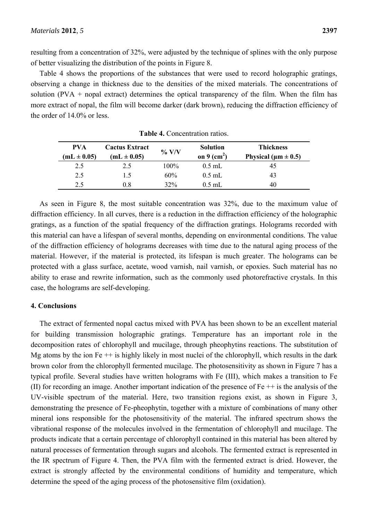resulting from a concentration of 32%, were adjusted by the technique of splines with the only purpose of better visualizing the distribution of the points in Figure 8.

Table 4 shows the proportions of the substances that were used to record holographic gratings, observing a change in thickness due to the densities of the mixed materials. The concentrations of solution (PVA + nopal extract) determines the optical transparency of the film. When the film has more extract of nopal, the film will become darker (dark brown), reducing the diffraction efficiency of the order of 14.0% or less.

| <b>PVA</b><br>$(mL \pm 0.05)$ | <b>Cactus Extract</b><br>$(mL \pm 0.05)$ | $\%$ V/V | <b>Solution</b><br>on 9 $(cm2)$ | Thickness<br>Physical ( $\mu$ m $\pm$ 0.5) |
|-------------------------------|------------------------------------------|----------|---------------------------------|--------------------------------------------|
| 2.5                           | 2.5                                      | $100\%$  | $0.5$ mL                        | 45                                         |
| 2.5                           | 1.5                                      | 60%      | $0.5$ mL                        | 43                                         |
| 2.5                           | 08                                       | 32%      | $0.5$ mL                        | 40                                         |

**Table 4.** Concentration ratios.

As seen in Figure 8, the most suitable concentration was 32%, due to the maximum value of diffraction efficiency. In all curves, there is a reduction in the diffraction efficiency of the holographic gratings, as a function of the spatial frequency of the diffraction gratings. Holograms recorded with this material can have a lifespan of several months, depending on environmental conditions. The value of the diffraction efficiency of holograms decreases with time due to the natural aging process of the material. However, if the material is protected, its lifespan is much greater. The holograms can be protected with a glass surface, acetate, wood varnish, nail varnish, or epoxies. Such material has no ability to erase and rewrite information, such as the commonly used photorefractive crystals. In this case, the holograms are self-developing.

#### **4. Conclusions**

The extract of fermented nopal cactus mixed with PVA has been shown to be an excellent material for building transmission holographic gratings. Temperature has an important role in the decomposition rates of chlorophyll and mucilage, through pheophytins reactions. The substitution of Mg atoms by the ion  $Fe ++$  is highly likely in most nuclei of the chlorophyll, which results in the dark brown color from the chlorophyll fermented mucilage. The photosensitivity as shown in Figure 7 has a typical profile. Several studies have written holograms with Fe (III), which makes a transition to Fe (II) for recording an image. Another important indication of the presence of  $Fe ++$  is the analysis of the UV-visible spectrum of the material. Here, two transition regions exist, as shown in Figure 3, demonstrating the presence of Fe-pheophytin, together with a mixture of combinations of many other mineral ions responsible for the photosensitivity of the material. The infrared spectrum shows the vibrational response of the molecules involved in the fermentation of chlorophyll and mucilage. The products indicate that a certain percentage of chlorophyll contained in this material has been altered by natural processes of fermentation through sugars and alcohols. The fermented extract is represented in the IR spectrum of Figure 4. Then, the PVA film with the fermented extract is dried. However, the extract is strongly affected by the environmental conditions of humidity and temperature, which determine the speed of the aging process of the photosensitive film (oxidation).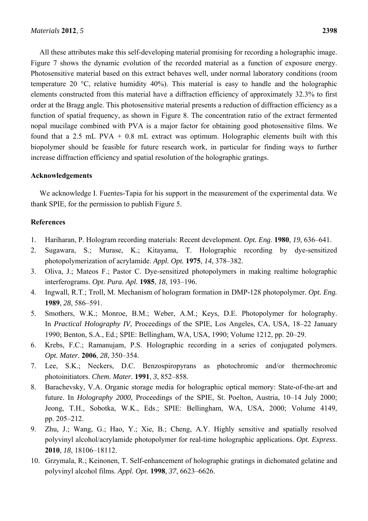All these attributes make this self-developing material promising for recording a holographic image. Figure 7 shows the dynamic evolution of the recorded material as a function of exposure energy. Photosensitive material based on this extract behaves well, under normal laboratory conditions (room temperature 20 °C, relative humidity 40%). This material is easy to handle and the holographic elements constructed from this material have a diffraction efficiency of approximately 32.3% to first order at the Bragg angle. This photosensitive material presents a reduction of diffraction efficiency as a function of spatial frequency, as shown in Figure 8. The concentration ratio of the extract fermented nopal mucilage combined with PVA is a major factor for obtaining good photosensitive films. We found that a 2.5 mL PVA  $+$  0.8 mL extract was optimum. Holographic elements built with this biopolymer should be feasible for future research work, in particular for finding ways to further increase diffraction efficiency and spatial resolution of the holographic gratings.

# **Acknowledgements**

We acknowledge I. Fuentes-Tapia for his support in the measurement of the experimental data. We thank SPIE, for the permission to publish Figure 5.

# **References**

- 1. Hariharan, P. Hologram recording materials: Recent development. *Opt. Eng*. **1980**, *19*, 636–641.
- 2. Sugawara, S.; Murase, K.; Kitayama, T. Holographic recording by dye-sensitized photopolymerization of acrylamide. *Appl. Opt.* **1975**, *14*, 378–382.
- 3. Oliva, J.; Mateos F.; Pastor C. Dye-sensitized photopolymers in making realtime holographic interferograms. *Opt. Pura. Apl.* **1985**, *18*, 193–196.
- 4. Ingwall, R.T.; Troll, M. Mechanism of hologram formation in DMP-128 photopolymer. *Opt. Eng.* **1989**, *28*, 586–591.
- 5. Smothers, W.K.; Monroe, B.M.; Weber, A.M.; Keys, D.E. Photopolymer for holography. In *Practical Holography IV*, Proceedings of the SPIE, Los Angeles, CA, USA, 18–22 January 1990; Benton, S.A., Ed.; SPIE: Bellingham, WA, USA, 1990; Volume 1212, pp. 20–29.
- 6. Krebs, F.C.; Ramanujam, P.S. Holographic recording in a series of conjugated polymers. *Opt. Mater.* **2006**, *28*, 350–354.
- 7. Lee, S.K.; Neckers, D.C. Benzospiropyrans as photochromic and/or thermochromic photoinitiators. *Chem. Mater.* **1991**, *3*, 852–858.
- 8. Barachevsky, V.A. Organic storage media for holographic optical memory: State-of-the-art and future. In *Holography 2000*, Proceedings of the SPIE, St. Poelton, Austria, 10–14 July 2000; Jeong, T.H., Sobotka, W.K., Eds.; SPIE: Bellingham, WA, USA, 2000; Volume 4149, pp. 205–212.
- 9. Zhu, J.; Wang, G.; Hao, Y.; Xie, B.; Cheng, A.Y. Highly sensitive and spatially resolved polyvinyl alcohol/acrylamide photopolymer for real-time holographic applications. *Opt. Express*. **2010**, *18*, 18106–18112.
- 10. Grzymala, R.; Keinonen, T. Self-enhancement of holographic gratings in dichomated gelatine and polyvinyl alcohol films. *Appl. Opt.* **1998**, *37*, 6623–6626.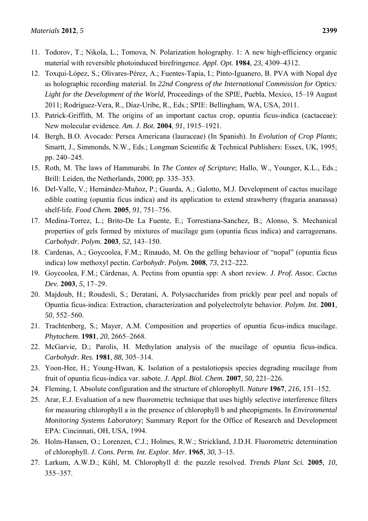- 11. Todorov, T.; Nikola, L.; Tomova, N. Polarization holography. 1: A new high-efficiency organic material with reversible photoinduced birefringence. *Appl. Opt.* **1984**, *23*, 4309–4312.
- 12. Toxqui-López, S.; Olivares-Pérez, A.; Fuentes-Tapia, I.; Pinto-Iguanero, B. PVA with Nopal dye as holographic recording material. In *22nd Congress of the International Commission for Optics: Light for the Development of the World*, Proceedings of the SPIE, Puebla, Mexico, 15–19 August 2011; Rodríguez-Vera, R., Díaz-Uribe, R., Eds.; SPIE: Bellingham, WA, USA, 2011.
- 13. Patrick-Griffith, M. The origins of an important cactus crop, opuntia ficus-indica (cactaceae): New molecular evidence. *Am. J. Bot.* **2004**, *91*, 1915–1921.
- 14. Bergh, B.O. Avocado: Persea Americana (lauraceae) (In Spanish). In *Evolution of Crop Plants*; Smartt, J., Simmonds, N.W., Eds.; Longman Scientific & Technical Publishers: Essex, UK, 1995; pp. 240–245.
- 15. Roth, M. The laws of Hammurabi. In *The Contex of Scripture*; Hallo, W., Younger, K.L., Eds.; Brill: Leiden, the Netherlands, 2000; pp. 335–353.
- 16. Del-Valle, V.; Hernández-Muñoz, P.; Guarda, A.; Galotto, M.J. Development of cactus mucilage edible coating (opuntia ficus indica) and its application to extend strawberry (fragaria ananassa) shelf-life. *Food Chem.* **2005**, *91*, 751–756.
- 17. Medina-Torrez, L.; Brito-De La Fuente, E.; Torrestiana-Sanchez, B.; Alonso, S. Mechanical properties of gels formed by mixtures of mucilage gum (opuntia ficus indica) and carrageenans. *Carbohydr. Polym.* **2003**, *52*, 143–150.
- 18. Cardenas, A.; Goycoolea, F.M.; Rinaudo, M. On the gelling behaviour of "nopal" (opuntia ficus indica) low methoxyl pectin. *Carbohydr. Polym.* **2008**, *73*, 212–222.
- 19. Goycoolea, F.M.; Cárdenas, A. Pectins from opuntia spp: A short review. *J. Prof. Assoc. Cactus Dev.* **2003**, *5*, 17–29.
- 20. Majdoub, H.; Roudesli, S.; Deratani, A. Polysaccharides from prickly pear peel and nopals of Opuntia ficus-indica: Extraction, characterization and polyelectrolyte behavior. *Polym. Int.* **2001**, *50*, 552–560.
- 21. Trachtenberg, S.; Mayer, A.M. Composition and properties of opuntia ficus-indica mucilage. *Phytochem.* **1981**, *20*, 2665–2668.
- 22. McGarvie, D.; Parolis, H. Methylation analysis of the mucilage of opuntia ficus-indica. *Carbohydr. Res.* **1981**, *88*, 305–314.
- 23. Yoon-Hee, H.; Young-Hwan, K. Isolation of a pestalotiopsis species degrading mucilage from fruit of opuntia ficus-indica var. sabote. *J. Appl. Biol. Chem.* **2007**, *50*, 221–226.
- 24. Fleming, I. Absolute configuration and the structure of chlorophyll. *Nature* **1967**, *216*, 151–152.
- 25. Arar, E.J. Evaluation of a new fluorometric technique that uses highly selective interference filters for measuring chlorophyll a in the presence of chlorophyll b and pheopigments. In *Environmental Monitoring Systems Laboratory*; Summary Report for the Office of Research and Development EPA: Cincinnati, OH, USA, 1994.
- 26. Holm-Hansen, O.; Lorenzen, C.J.; Holmes, R.W.; Strickland, J.D.H. Fluorometric determination of chlorophyll. *J. Cons. Perm. Int. Explor. Mer.* **1965**, *30*, 3–15.
- 27. Larkum, A.W.D.; Kühl, M. Chlorophyll d: the puzzle resolved. *Trends Plant Sci.* **2005**, *10*, 355–357.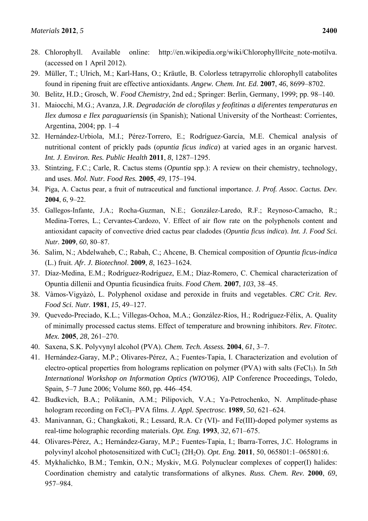- 28. Chlorophyll. Available online: http://en.wikipedia.org/wiki/Chlorophyll#cite\_note-motilva. (accessed on 1 April 2012).
- 29. Müller, T.; Ulrich, M.; Karl-Hans, O.; Kräutle, B. Colorless tetrapyrrolic chlorophyll catabolites found in ripening fruit are effective antioxidants. *Angew. Chem. Int. Ed.* **2007**, *46*, 8699–8702.
- 30. Belitz, H.D.; Grosch, W. *Food Chemistry*, 2nd ed.; Springer: Berlin, Germany, 1999; pp. 98–140.
- 31. Maiocchi, M.G.; Avanza, J.R. *Degradación de clorofilas y feofitinas a diferentes temperaturas en Ilex dumosa e Ilex paraguariensis* (in Spanish); National University of the Northeast: Corrientes, Argentina, 2004; pp. 1–4
- 32. Hernández-Urbiola, M.I.; Pérez-Torrero, E.; Rodríguez-García, M.E. Chemical analysis of nutritional content of prickly pads (*opuntia ficus indica*) at varied ages in an organic harvest. *Int. J. Environ. Res. Public Health* **2011**, *8*, 1287–1295.
- 33. Stintzing, F.C.; Carle, R. Cactus stems (*Opuntia* spp.): A review on their chemistry, technology, and uses. *Mol. Nutr. Food Res.* **2005**, *49*, 175–194.
- 34. Piga, A. Cactus pear, a fruit of nutraceutical and functional importance. *J. Prof. Assoc. Cactus. Dev.*  **2004**, *6*, 9–22.
- 35. Gallegos-Infante, J.A.; Rocha-Guzman, N.E.; González-Laredo, R.F.; Reynoso-Camacho, R.; Medina-Torres, L.; Cervantes-Cardozo, V. Effect of air flow rate on the polyphenols content and antioxidant capacity of convective dried cactus pear cladodes (*Opuntia ficus indica*). *Int. J. Food Sci. Nutr.* **2009**, *60*, 80–87.
- 36. Salim, N.; Abdelwaheb, C.; Rabah, C.; Ahcene, B. Chemical composition of *Opuntia ficus-indica*  (L.) fruit. *Afr. J. Biotechnol*. **2009**, *8*, 1623–1624.
- 37. Díaz-Medina, E.M.; Rodríguez-Rodríguez, E.M.; Díaz-Romero, C. Chemical characterization of Opuntia dillenii and Opuntia ficusindica fruits. *Food Chem.* **2007**, *103*, 38–45.
- 38. Vàmos-Vigyàzò, L. Polyphenol oxidase and peroxide in fruits and vegetables. *CRC Crit. Rev. Food Sci. Nutr.* **1981**, *15*, 49–127.
- 39. Quevedo-Preciado, K.L.; Villegas-Ochoa, M.A.; González-Ríos, H.; Rodríguez-Félix, A. Quality of minimally processed cactus stems. Effect of temperature and browning inhibitors. *Rev. Fitotec. Mex.* **2005**, *28*, 261–270.
- 40. Saxena, S.K. Polyvynyl alcohol (PVA). *Chem. Tech. Assess.* **2004**, *61*, 3–7.
- 41. Hernández-Garay, M.P.; Olivares-Pérez, A.; Fuentes-Tapia, I. Characterization and evolution of electro-optical properties from holograms replication on polymer (PVA) with salts (FeCl<sub>3</sub>). In 5th *International Workshop on Information Optics (WIO'06)*, AIP Conference Proceedings, Toledo, Spain, 5–7 June 2006; Volume 860, pp. 446–454*.*
- 42. Budkevich, B.A.; Polikanin, A.M.; Pilipovich, V.A.; Ya-Petrochenko, N. Amplitude-phase hologram recording on FeCl<sub>3</sub>–PVA films. *J. Appl. Spectrosc.* **1989**, 50, 621–624.
- 43. Manivannan, G.; Changkakoti, R.; Lessard, R.A. Cr (VI)- and Fe(III)-doped polymer systems as real-time holographic recording materials. *Opt. Eng.* **1993**, *32*, 671–675.
- 44. Olivares-Pérez, A.; Hernández-Garay, M.P.; Fuentes-Tapia, I.; Ibarra-Torres, J.C. Holograms in polyvinyl alcohol photosensitized with CuCl<sub>2</sub> (2H<sub>2</sub>O). *Opt. Eng.* **2011**, 50, 065801:1–065801:6.
- 45. Mykhalichko, B.M.; Temkin, O.N.; Myskiv, M.G. Polynuclear complexes of copper(I) halides: Coordination chemistry and catalytic transformations of alkynes. *Russ. Chem. Rev.* **2000**, *69*, 957–984.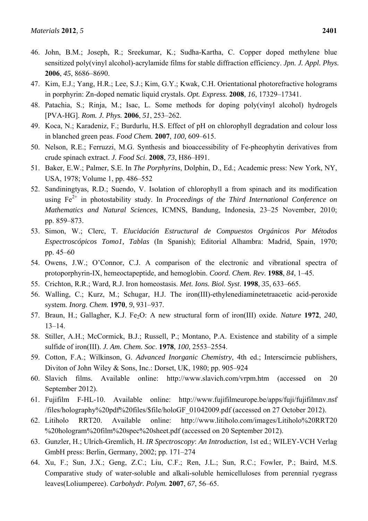- 46. John, B.M.; Joseph, R.; Sreekumar, K.; Sudha-Kartha, C. Copper doped methylene blue sensitized poly(vinyl alcohol)-acrylamide films for stable diffraction efficiency. *Jpn. J. Appl. Phys.* **2006**, *45*, 8686–8690.
- 47. Kim, E.J.; Yang, H.R.; Lee, S.J.; Kim, G.Y.; Kwak, C.H. Orientational photorefractive holograms in porphyrin: Zn-doped nematic liquid crystals. *Opt. Express.* **2008**, *16*, 17329–17341.
- 48. Patachia, S.; Rinja, M.; Isac, L. Some methods for doping poly(vinyl alcohol) hydrogels [PVA-HG]. *Rom. J. Phys.* **2006**, *51*, 253–262.
- 49. Koca, N.; Karadeniz, F.; Burdurlu, H.S. Effect of pH on chlorophyll degradation and colour loss in blanched green peas. *Food Chem.* **2007**, *100*, 609–615.
- 50. Nelson, R.E.; Ferruzzi, M.G. Synthesis and bioaccessibility of Fe-pheophytin derivatives from crude spinach extract. *J. Food Sci*. **2008**, *73*, H86–H91.
- 51. Baker, E.W.; Palmer, S.E. In *The Porphyrins*, Dolphin, D., Ed.; Academic press: New York, NY, USA, 1978; Volume 1, pp. 486–552
- 52. Sandiningtyas, R.D.; Suendo, V. Isolation of chlorophyll a from spinach and its modification using Fe<sup>2+</sup> in photostability study. In *Proceedings of the Third International Conference on Mathematics and Natural Sciences*, ICMNS, Bandung, Indonesia, 23–25 November, 2010; pp. 859–873.
- 53. Simon, W.; Clerc, T. *Elucidación Estructural de Compuestos Orgánicos Por Métodos Espectroscópicos Tomo1, Tablas* (In Spanish); Editorial Alhambra: Madrid, Spain, 1970; pp. 45–60
- 54. Owens, J.W.; O'Connor, C.J. A comparison of the electronic and vibrational spectra of protoporphyrin-IX, hemeoctapeptide, and hemoglobin. *Coord. Chem. Rev.* **1988**, *84*, 1–45.
- 55. Crichton, R.R.; Ward, R.J. Iron homeostasis. *Met. Ions. Biol. Syst*. **1998**, *35*, 633–665.
- 56. Walling, C.; Kurz, M.; Schugar, H.J. The iron(III)-ethylenediaminetetraacetic acid-peroxide system. *Inorg. Chem.* **1970**, *9*, 931–937.
- 57. Braun, H.; Gallagher, K.J. Fe<sub>2</sub>O: A new structural form of iron(III) oxide. *Nature* 1972, 240, 13–14.
- 58. Stiller, A.H.; McCormick, B.J.; Russell, P.; Montano, P.A. Existence and stability of a simple sulfide of iron(III). *J. Am. Chem. Soc*. **1978**, *100*, 2553–2554.
- 59. Cotton, F.A.; Wilkinson, G. *Advanced Inorganic Chemistry*, 4th ed.; Interscirncie publishers, Diviton of John Wiley & Sons, Inc.: Dorset, UK, 1980; pp. 905–924
- 60. Slavich films. Available online: http://www.slavich.com/vrpm.htm (accessed on 20 September 2012).
- 61. Fujifilm F-HL-10. Available online: http://www.fujifilmeurope.be/apps/fuji/fujifilmnv.nsf /files/holography%20pdf%20files/\$file/holoGF\_01042009.pdf (accessed on 27 October 2012).
- 62. Litiholo RRT20. Available online: http://www.litiholo.com/images/Litiholo%20RRT20 %20hologram%20film%20spec%20sheet.pdf (accessed on 20 September 2012).
- 63. Gunzler, H.; Ulrich-Gremlich, H. *IR Spectroscopy*: *An Introduction*, 1st ed.; WILEY-VCH Verlag GmbH press: Berlin, Germany, 2002; pp. 171–274
- 64. Xu, F.; Sun, J.X.; Geng, Z.C.; Liu, C.F.; Ren, J.L.; Sun, R.C.; Fowler, P.; Baird, M.S. Comparative study of water-soluble and alkali-soluble hemicelluloses from perennial ryegrass leaves(Loliumperee). *Carbohydr. Polym.* **2007**, *67*, 56–65.